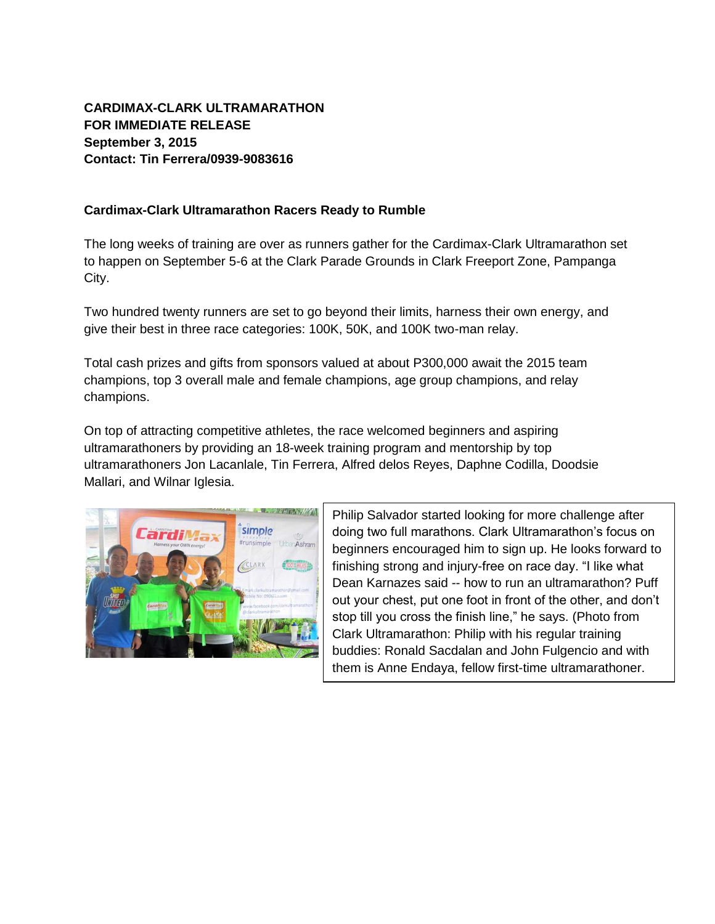## **CARDIMAX-CLARK ULTRAMARATHON FOR IMMEDIATE RELEASE September 3, 2015 Contact: Tin Ferrera/0939-9083616**

## **Cardimax-Clark Ultramarathon Racers Ready to Rumble**

The long weeks of training are over as runners gather for the Cardimax-Clark Ultramarathon set to happen on September 5-6 at the Clark Parade Grounds in Clark Freeport Zone, Pampanga City.

Two hundred twenty runners are set to go beyond their limits, harness their own energy, and give their best in three race categories: 100K, 50K, and 100K two-man relay.

Total cash prizes and gifts from sponsors valued at about P300,000 await the 2015 team champions, top 3 overall male and female champions, age group champions, and relay champions.

On top of attracting competitive athletes, the race welcomed beginners and aspiring ultramarathoners by providing an 18-week training program and mentorship by top ultramarathoners Jon Lacanlale, Tin Ferrera, Alfred delos Reyes, Daphne Codilla, Doodsie Mallari, and Wilnar Iglesia.



Philip Salvador started looking for more challenge after doing two full marathons. Clark Ultramarathon's focus on beginners encouraged him to sign up. He looks forward to finishing strong and injury-free on race day. "I like what Dean Karnazes said -- how to run an ultramarathon? Puff out your chest, put one foot in front of the other, and don't stop till you cross the finish line," he says. (Photo from Clark Ultramarathon: Philip with his regular training buddies: Ronald Sacdalan and John Fulgencio and with them is Anne Endaya, fellow first-time ultramarathoner.